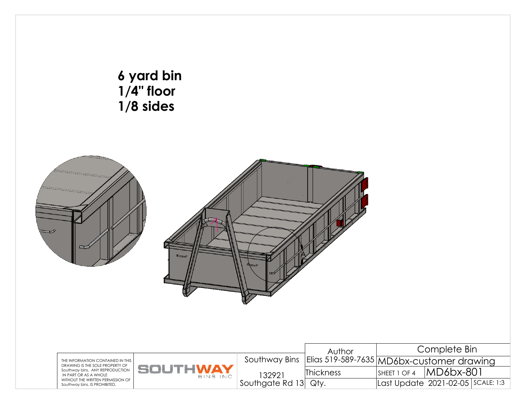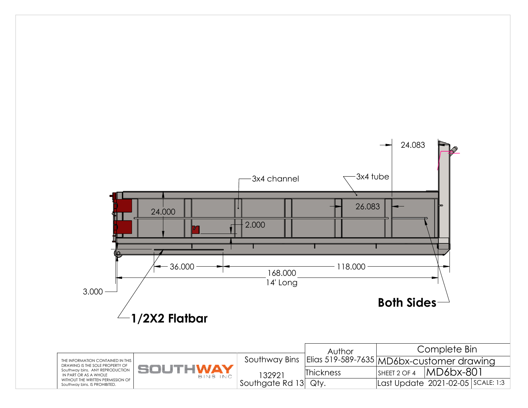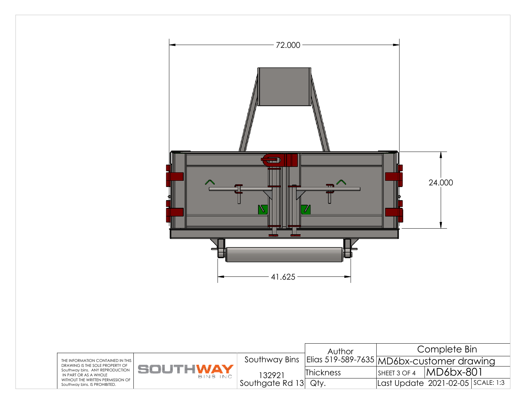